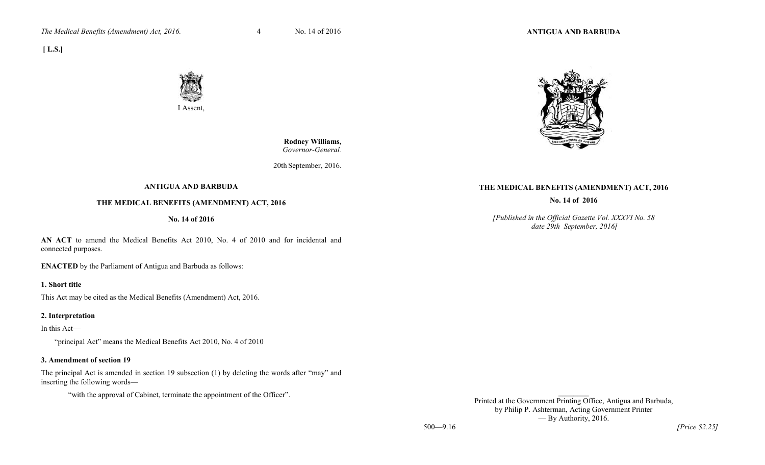

 **Rodney Williams,** *Governor-General.*

20th September, 2016.

# **ANTIGUA AND BARBUDA**

I Assent,

# **THE MEDICAL BENEFITS (AMENDMENT) ACT, 2016**

#### **No. 14 of 2016**

**AN ACT** to amend the Medical Benefits Act 2010, No. 4 of 2010 and for incidental and connected purposes.

**ENACTED** by the Parliament of Antigua and Barbuda as follows:

#### **1. Short title**

 **[ L.S.]** 

This Act may be cited as the Medical Benefits (Amendment) Act, 2016.

#### **2. Interpretation**

In this Act—

"principal Act" means the Medical Benefits Act 2010, No. 4 of 2010

#### **3. Amendment of section 19**

The principal Act is amended in section 19 subsection (1) by deleting the words after "may" and inserting the following words—

"with the approval of Cabinet, terminate the appointment of the Officer".

# **THE MEDICAL BENEFITS (AMENDMENT) ACT, 2016**

**No. 14 of 2016** 

*[Published in the Official Gazette Vol. XXXVI No. 58 date 29th September, 2016]*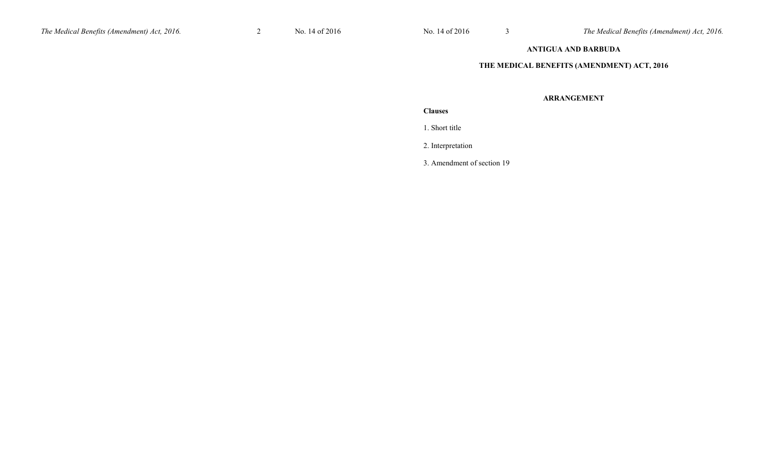# **ANTIGUA AND BARBUDA**

#### **THE MEDICAL BENEFITS (AMENDMENT) ACT, 2016**

# **ARRANGEMENT**

# **Clauses**

1. Short title

2. Interpretation

3. Amendment of section 19